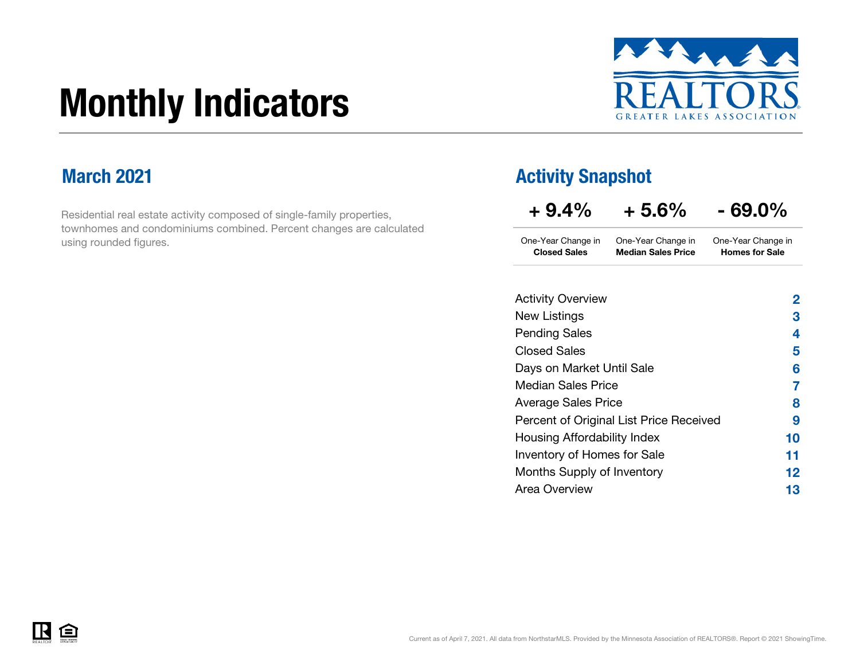# Monthly Indicators



### March 2021

Residential real estate activity composed of single-family properties, townhomes and condominiums combined. Percent changes are calculated using rounded figures.

### Activity Snapshot

| $+9.4%$                                   | $+5.6%$                                         | - 69.0%                                     |
|-------------------------------------------|-------------------------------------------------|---------------------------------------------|
| One-Year Change in<br><b>Closed Sales</b> | One-Year Change in<br><b>Median Sales Price</b> | One-Year Change in<br><b>Homes for Sale</b> |
| <b>Activity Overview</b>                  |                                                 | 2                                           |
| New Listings                              |                                                 | 3                                           |
| <b>Pending Sales</b>                      |                                                 | 4                                           |
| <b>Closed Sales</b>                       |                                                 | 5                                           |
| Days on Market Until Sale                 |                                                 | 6                                           |
| Median Sales Price                        |                                                 | 7                                           |
| <b>Average Sales Price</b>                |                                                 | 8                                           |
|                                           | Percent of Original List Price Received         | 9                                           |
| Housing Affordability Index               |                                                 | 10                                          |
| Inventory of Homes for Sale               |                                                 | 11                                          |
| Months Supply of Inventory                |                                                 | 12                                          |
| Area Overview                             |                                                 | 13                                          |

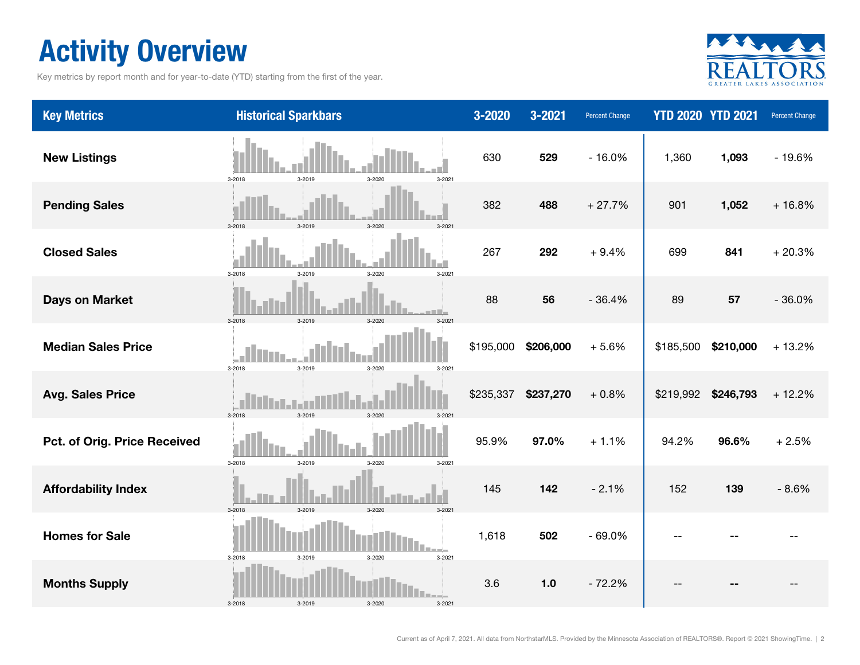# Activity Overview

Key metrics by report month and for year-to-date (YTD) starting from the first of the year.



| <b>Key Metrics</b>           | <b>Historical Sparkbars</b>                     | 3-2020    | 3-2021    | Percent Change |           | <b>YTD 2020 YTD 2021</b> | Percent Change |
|------------------------------|-------------------------------------------------|-----------|-----------|----------------|-----------|--------------------------|----------------|
| <b>New Listings</b>          | 3-2018<br>3-2019<br>3-2020<br>$3 - 2021$        | 630       | 529       | $-16.0%$       | 1,360     | 1,093                    | $-19.6%$       |
| <b>Pending Sales</b>         | 3-2018<br>3-2020<br>$3 - 2019$<br>$3 - 202$     | 382       | 488       | $+27.7%$       | 901       | 1,052                    | $+16.8%$       |
| <b>Closed Sales</b>          | 3-2018<br>3-2019<br>3-2020<br>3-2021            | 267       | 292       | $+9.4%$        | 699       | 841                      | $+20.3%$       |
| <b>Days on Market</b>        | 3-2019<br>$3 - 2018$<br>$3 - 2020$<br>$3 - 202$ | 88        | 56        | $-36.4%$       | 89        | 57                       | $-36.0%$       |
| <b>Median Sales Price</b>    | 3-2018<br>3-2019<br>3-2020<br>$3 - 2021$        | \$195,000 | \$206,000 | $+5.6%$        | \$185,500 | \$210,000                | $+13.2%$       |
| <b>Avg. Sales Price</b>      | 3-2018<br>3-2019<br>$3 - 2020$<br>$3 - 202$     | \$235,337 | \$237,270 | $+0.8%$        | \$219,992 | \$246,793                | $+12.2%$       |
| Pct. of Orig. Price Received | 3-2018<br>3-2019<br>3-2020<br>3-2021            | 95.9%     | 97.0%     | $+1.1%$        | 94.2%     | 96.6%                    | $+2.5%$        |
| <b>Affordability Index</b>   | 3-2019<br>3-2018<br>$3 - 2020$<br>$3 - 202$     | 145       | 142       | $-2.1%$        | 152       | 139                      | $-8.6%$        |
| <b>Homes for Sale</b>        | 3-2018<br>3-2019<br>3-2020<br>3-2021            | 1,618     | 502       | $-69.0%$       |           |                          |                |
| <b>Months Supply</b>         | 3-2018<br>3-2019<br>3-2020<br>$3 - 2021$        | 3.6       | $1.0$     | $-72.2%$       |           |                          |                |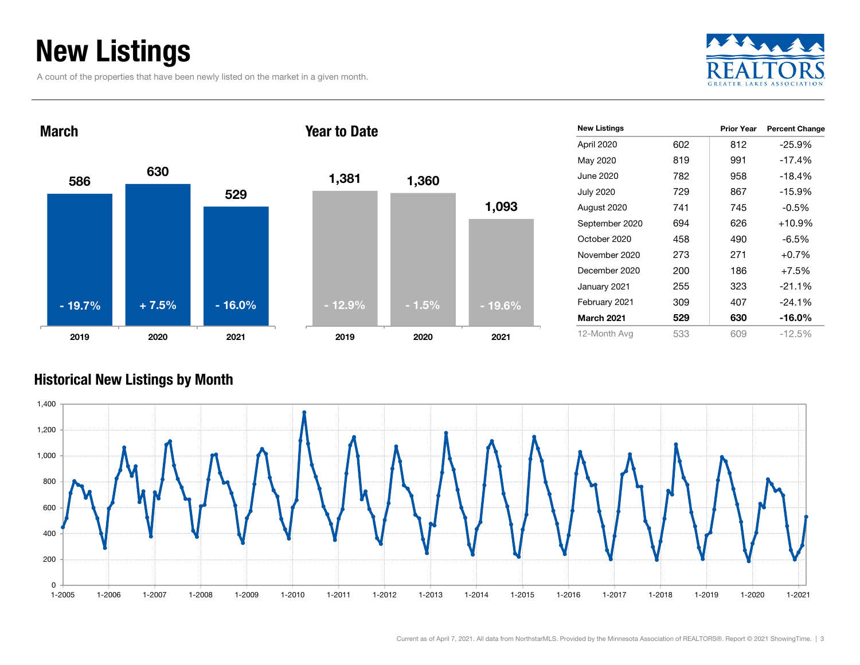# New Listings

A count of the properties that have been newly listed on the market in a given month.





| <b>New Listings</b> |     | <b>Prior Year</b> | <b>Percent Change</b> |
|---------------------|-----|-------------------|-----------------------|
| April 2020          | 602 | 812               | $-25.9%$              |
| May 2020            | 819 | 991               | $-17.4%$              |
| June 2020           | 782 | 958               | $-18.4%$              |
| <b>July 2020</b>    | 729 | 867               | $-15.9%$              |
| August 2020         | 741 | 745               | -0.5%                 |
| September 2020      | 694 | 626               | $+10.9%$              |
| October 2020        | 458 | 490               | -6.5%                 |
| November 2020       | 273 | 271               | $+0.7%$               |
| December 2020       | 200 | 186               | $+7.5%$               |
| January 2021        | 255 | 323               | $-21.1%$              |
| February 2021       | 309 | 407               | $-24.1%$              |
| <b>March 2021</b>   | 529 | 630               | -16.0%                |
| 12-Month Avg        | 533 | 609               | $-12.5%$              |

### Historical New Listings by Month



1,093

2020 2021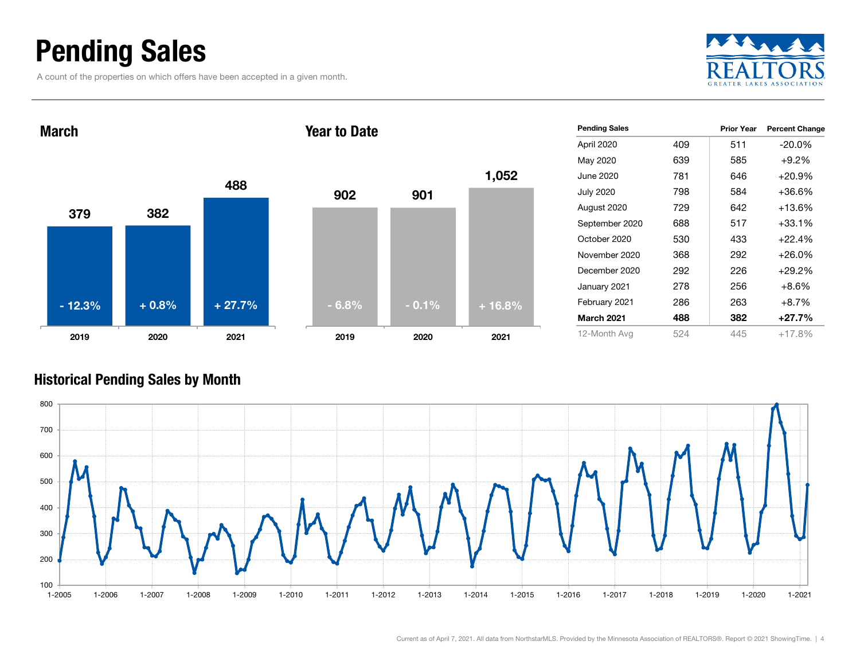## Pending Sales

A count of the properties on which offers have been accepted in a given month.





| <b>Pending Sales</b> |     | Prior Year | <b>Percent Change</b> |
|----------------------|-----|------------|-----------------------|
| April 2020           | 409 | 511        | $-20.0\%$             |
| May 2020             | 639 | 585        | $+9.2%$               |
| June 2020            | 781 | 646        | $+20.9%$              |
| <b>July 2020</b>     | 798 | 584        | +36.6%                |
| August 2020          | 729 | 642        | +13.6%                |
| September 2020       | 688 | 517        | +33.1%                |
| October 2020         | 530 | 433        | $+22.4%$              |
| November 2020        | 368 | 292        | $+26.0\%$             |
| December 2020        | 292 | 226        | $+29.2%$              |
| January 2021         | 278 | 256        | $+8.6\%$              |
| February 2021        | 286 | 263        | $+8.7\%$              |
| March 2021           | 488 | 382        | $+27.7%$              |
| 12-Month Avg         | 524 | 445        | $+17.8%$              |

### Historical Pending Sales by Month

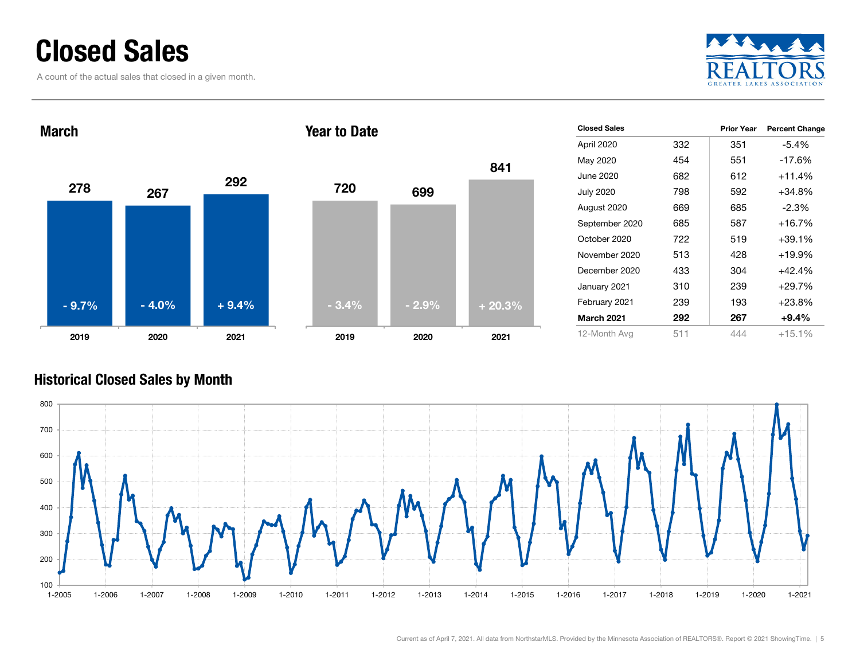### Closed Sales

A count of the actual sales that closed in a given month.





#### Historical Closed Sales by Month

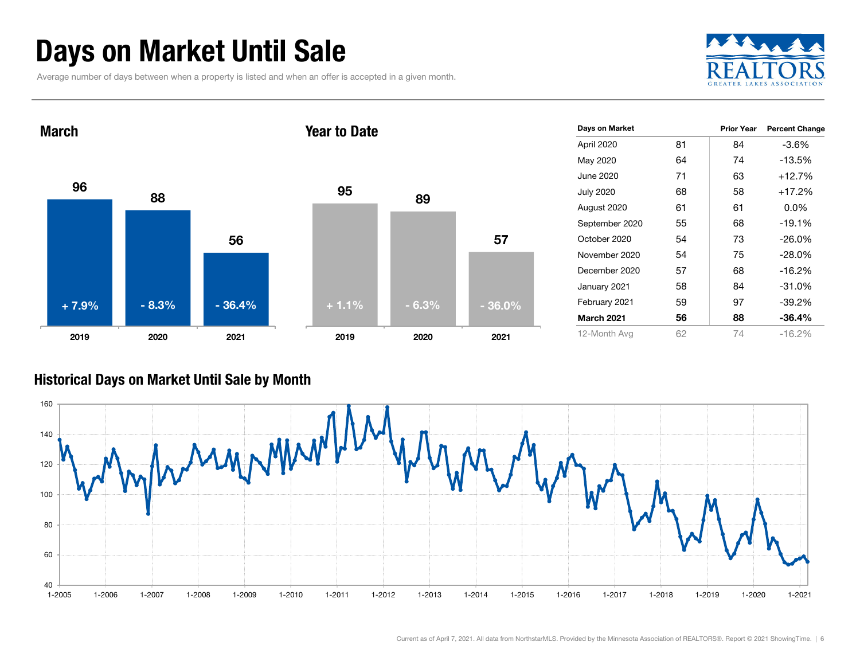# Days on Market Until Sale

Average number of days between when a property is listed and when an offer is accepted in a given month.





#### Historical Days on Market Until Sale by Month

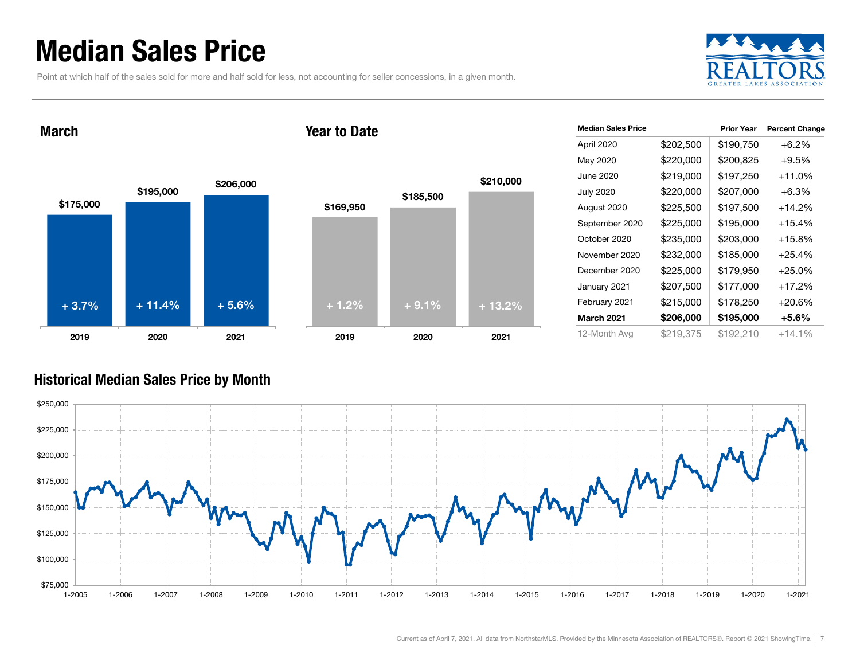### Median Sales Price

Point at which half of the sales sold for more and half sold for less, not accounting for seller concessions, in a given month.



March







| <b>Median Sales Price</b> |           | <b>Prior Year</b> | <b>Percent Change</b> |
|---------------------------|-----------|-------------------|-----------------------|
| April 2020                | \$202,500 | \$190,750         | $+6.2%$               |
| May 2020                  | \$220,000 | \$200,825         | $+9.5%$               |
| June 2020                 | \$219,000 | \$197,250         | $+11.0%$              |
| <b>July 2020</b>          | \$220,000 | \$207,000         | $+6.3\%$              |
| August 2020               | \$225,500 | \$197,500         | $+14.2%$              |
| September 2020            | \$225,000 | \$195,000         | $+15.4%$              |
| October 2020              | \$235,000 | \$203,000         | $+15.8%$              |
| November 2020             | \$232,000 | \$185,000         | $+25.4%$              |
| December 2020             | \$225,000 | \$179,950         | $+25.0\%$             |
| January 2021              | \$207,500 | \$177,000         | +17.2%                |
| February 2021             | \$215,000 | \$178,250         | +20.6%                |
| <b>March 2021</b>         | \$206,000 | \$195,000         | +5.6%                 |
| 12-Month Avg              | \$219,375 | \$192,210         | $+14.1%$              |

### Historical Median Sales Price by Month

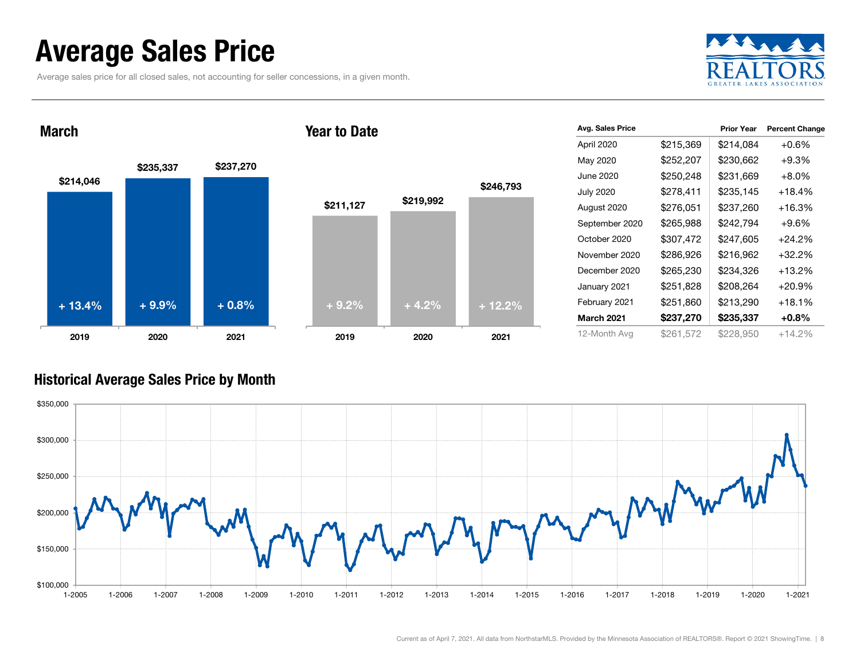### Average Sales Price

March

Average sales price for all closed sales, not accounting for seller concessions, in a given month.



### \$214,046 \$235,337 \$237,270 2019 2020 2021 \$211,127 \$219,992 2019 2020 2021 + 13.4% $+9.9\%$   $+0.8\%$  + 9.2% + 4.2% + 12.2%

Year to Date

| Avg. Sales Price  |           | <b>Prior Year</b> | <b>Percent Change</b> |
|-------------------|-----------|-------------------|-----------------------|
| April 2020        | \$215,369 | \$214,084         | $+0.6%$               |
| May 2020          | \$252,207 | \$230,662         | $+9.3%$               |
| June 2020         | \$250,248 | \$231,669         | $+8.0%$               |
| <b>July 2020</b>  | \$278,411 | \$235,145         | $+18.4%$              |
| August 2020       | \$276,051 | \$237,260         | $+16.3%$              |
| September 2020    | \$265,988 | \$242,794         | $+9.6%$               |
| October 2020      | \$307,472 | \$247,605         | +24.2%                |
| November 2020     | \$286,926 | \$216,962         | $+32.2%$              |
| December 2020     | \$265,230 | \$234,326         | +13.2%                |
| January 2021      | \$251,828 | \$208,264         | $+20.9%$              |
| February 2021     | \$251,860 | \$213,290         | $+18.1%$              |
| <b>March 2021</b> | \$237,270 | \$235,337         | $+0.8%$               |
| 12-Month Avg      | \$261,572 | \$228,950         | $+14.2%$              |

### Historical Average Sales Price by Month



\$246,793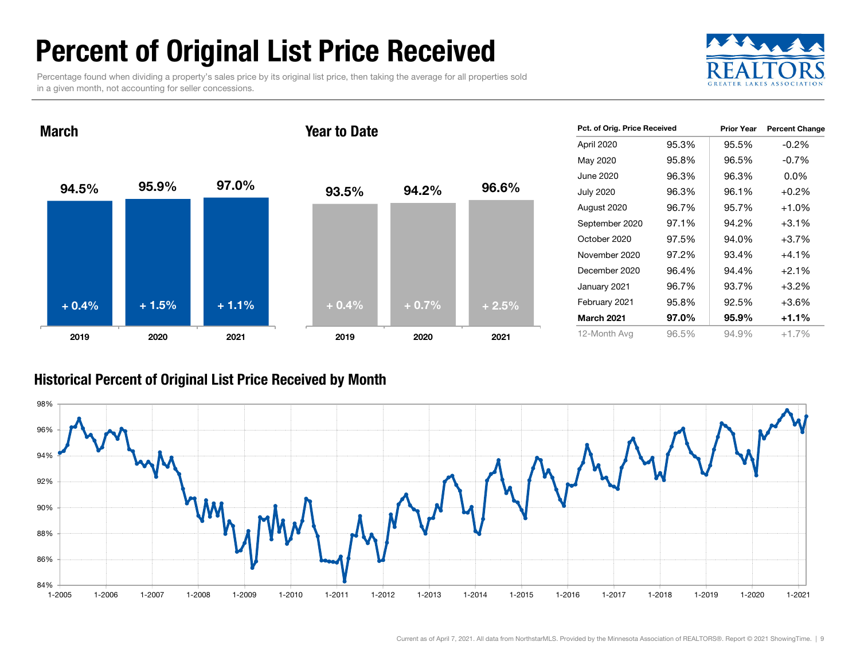# Percent of Original List Price Received

Percentage found when dividing a property's sales price by its original list price, then taking the average for all properties sold in a given month, not accounting for seller concessions.



94.5% 95.9% 97.0% 2019 2020 2021 March93.5% 94.2% 96.6% 2019 2020 2021 Year to Date+ 0.4% $\%$  + 1.5% + 1.1% + 0.4% + 0.7% + 2.5%

| Pct. of Orig. Price Received |       | <b>Prior Year</b> | <b>Percent Change</b> |
|------------------------------|-------|-------------------|-----------------------|
| April 2020                   | 95.3% | 95.5%             | $-0.2\%$              |
| May 2020                     | 95.8% | 96.5%             | $-0.7%$               |
| June 2020                    | 96.3% | 96.3%             | $0.0\%$               |
| <b>July 2020</b>             | 96.3% | 96.1%             | $+0.2\%$              |
| August 2020                  | 96.7% | 95.7%             | $+1.0%$               |
| September 2020               | 97.1% | 94.2%             | $+3.1%$               |
| October 2020                 | 97.5% | 94.0%             | $+3.7%$               |
| November 2020                | 97.2% | 93.4%             | $+4.1%$               |
| December 2020                | 96.4% | 94.4%             | $+2.1%$               |
| January 2021                 | 96.7% | 93.7%             | $+3.2%$               |
| February 2021                | 95.8% | 92.5%             | $+3.6%$               |
| <b>March 2021</b>            | 97.0% | 95.9%             | $+1.1%$               |
| 12-Month Avg                 | 96.5% | 94.9%             | $+1.7%$               |

### Historical Percent of Original List Price Received by Month

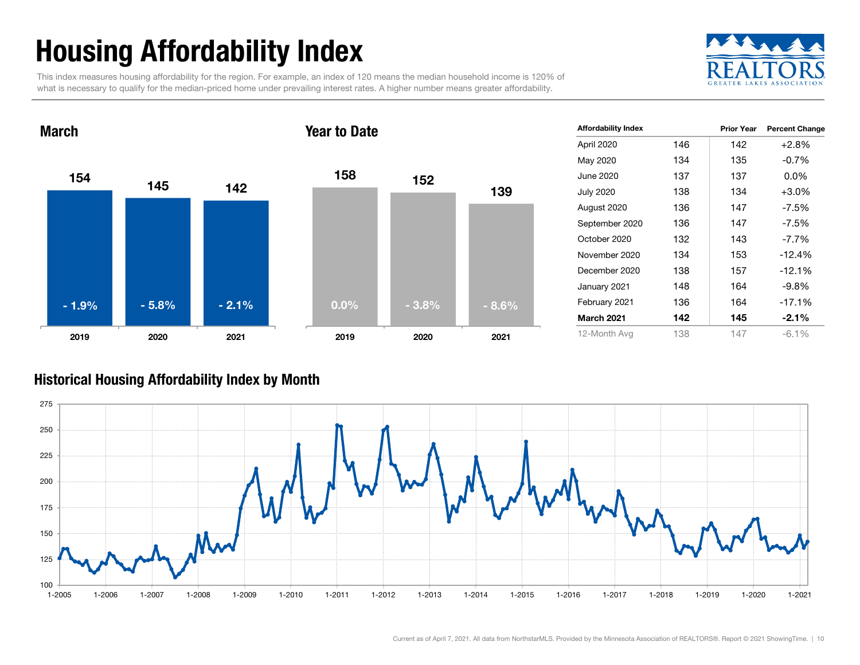# Housing Affordability Index

This index measures housing affordability for the region. For example, an index of 120 means the median household income is 120% of what is necessary to qualify for the median-priced home under prevailing interest rates. A higher number means greater affordability.





| <b>Affordability Index</b> |     | <b>Prior Year</b> | <b>Percent Change</b> |
|----------------------------|-----|-------------------|-----------------------|
| April 2020                 | 146 | 142               | $+2.8%$               |
| May 2020                   | 134 | 135               | $-0.7\%$              |
| June 2020                  | 137 | 137               | $0.0\%$               |
| <b>July 2020</b>           | 138 | 134               | $+3.0%$               |
| August 2020                | 136 | 147               | -7.5%                 |
| September 2020             | 136 | 147               | $-7.5\%$              |
| October 2020               | 132 | 143               | $-7.7\%$              |
| November 2020              | 134 | 153               | $-12.4%$              |
| December 2020              | 138 | 157               | $-12.1%$              |
| January 2021               | 148 | 164               | $-9.8\%$              |
| February 2021              | 136 | 164               | $-17.1%$              |
| <b>March 2021</b>          | 142 | 145               | $-2.1%$               |
| 12-Month Avg               | 138 | 147               | $-6.1\%$              |

### Historical Housing Affordability Index by Mont h

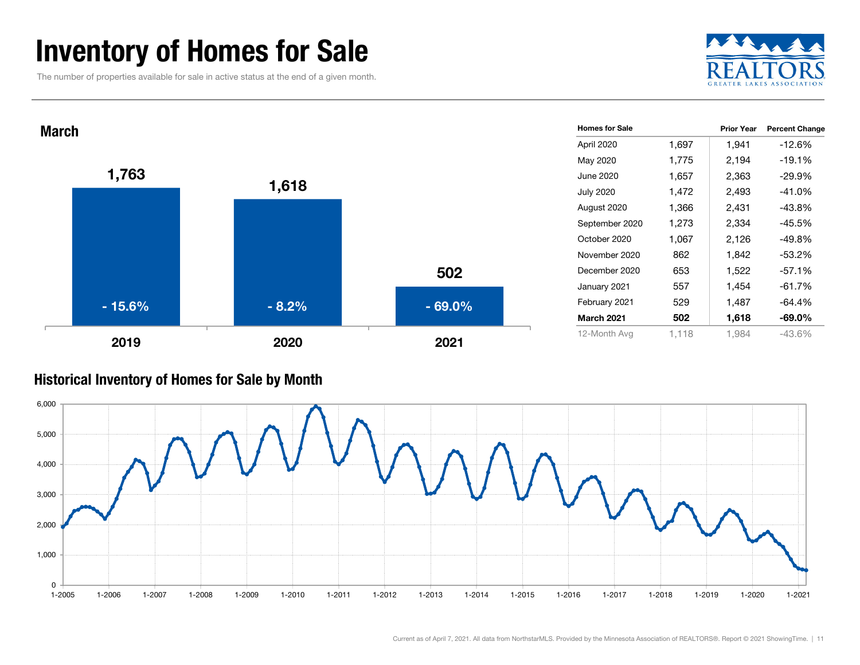### Inventory of Homes for Sale

The number of properties available for sale in active status at the end of a given month.





#### Historical Inventory of Homes for Sale by Month

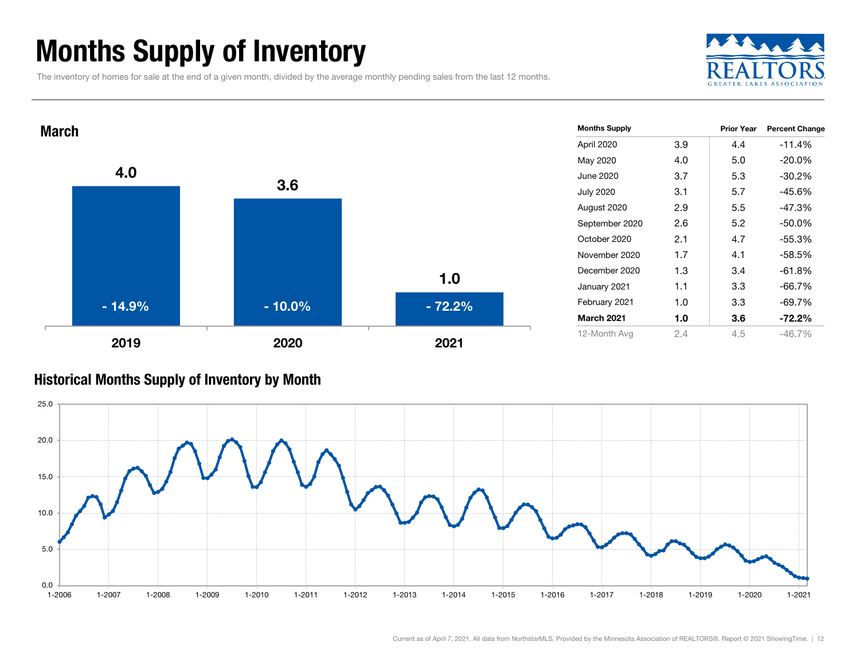# Months Supply of Inventory

The inventory of homes for sale at the end of a given month, divided by the average monthly pending sales from the last 12 months.





#### Historical Months Supply of Inventory by Month